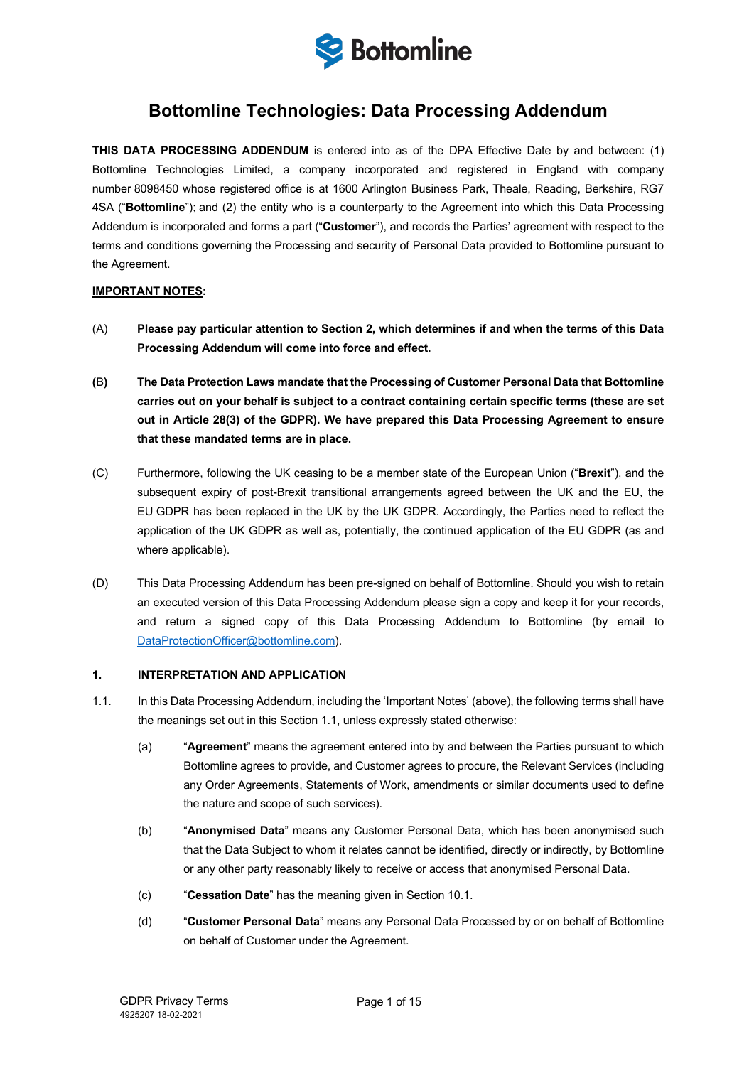

# **Bottomline Technologies: Data Processing Addendum**

**THIS DATA PROCESSING ADDENDUM** is entered into as of the DPA Effective Date by and between: (1) Bottomline Technologies Limited, a company incorporated and registered in England with company number 8098450 whose registered office is at 1600 Arlington Business Park, Theale, Reading, Berkshire, RG7 4SA ("**Bottomline**"); and (2) the entity who is a counterparty to the Agreement into which this Data Processing Addendum is incorporated and forms a part ("**Customer**"), and records the Parties' agreement with respect to the terms and conditions governing the Processing and security of Personal Data provided to Bottomline pursuant to the Agreement.

## **IMPORTANT NOTES:**

- (A) **Please pay particular attention to Section 2, which determines if and when the terms of this Data Processing Addendum will come into force and effect.**
- **(**B**) The Data Protection Laws mandate that the Processing of Customer Personal Data that Bottomline carries out on your behalf is subject to a contract containing certain specific terms (these are set out in Article 28(3) of the GDPR). We have prepared this Data Processing Agreement to ensure that these mandated terms are in place.**
- (C) Furthermore, following the UK ceasing to be a member state of the European Union ("**Brexit**"), and the subsequent expiry of post-Brexit transitional arrangements agreed between the UK and the EU, the EU GDPR has been replaced in the UK by the UK GDPR. Accordingly, the Parties need to reflect the application of the UK GDPR as well as, potentially, the continued application of the EU GDPR (as and where applicable).
- (D) This Data Processing Addendum has been pre-signed on behalf of Bottomline. Should you wish to retain an executed version of this Data Processing Addendum please sign a copy and keep it for your records, and return a signed copy of this Data Processing Addendum to Bottomline (by email to DataProtectionOfficer@bottomline.com).

## **1. INTERPRETATION AND APPLICATION**

- 1.1. In this Data Processing Addendum, including the 'Important Notes' (above), the following terms shall have the meanings set out in this Section 1.1, unless expressly stated otherwise:
	- (a) "**Agreement**" means the agreement entered into by and between the Parties pursuant to which Bottomline agrees to provide, and Customer agrees to procure, the Relevant Services (including any Order Agreements, Statements of Work, amendments or similar documents used to define the nature and scope of such services).
	- (b) "**Anonymised Data**" means any Customer Personal Data, which has been anonymised such that the Data Subject to whom it relates cannot be identified, directly or indirectly, by Bottomline or any other party reasonably likely to receive or access that anonymised Personal Data.
	- (c) "**Cessation Date**" has the meaning given in Section 10.1.
	- (d) "**Customer Personal Data**" means any Personal Data Processed by or on behalf of Bottomline on behalf of Customer under the Agreement.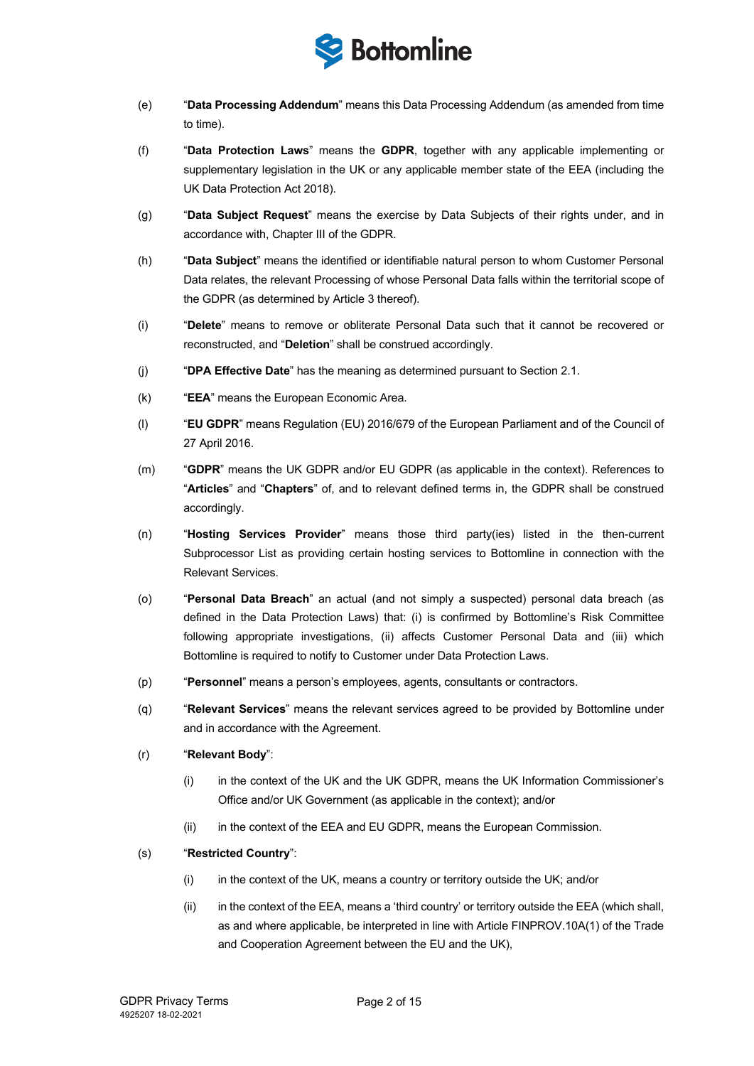

- (e) "**Data Processing Addendum**" means this Data Processing Addendum (as amended from time to time).
- (f) "**Data Protection Laws**" means the **GDPR**, together with any applicable implementing or supplementary legislation in the UK or any applicable member state of the EEA (including the UK Data Protection Act 2018).
- (g) "**Data Subject Request**" means the exercise by Data Subjects of their rights under, and in accordance with, Chapter III of the GDPR.
- (h) "**Data Subject**" means the identified or identifiable natural person to whom Customer Personal Data relates, the relevant Processing of whose Personal Data falls within the territorial scope of the GDPR (as determined by Article 3 thereof).
- (i) "**Delete**" means to remove or obliterate Personal Data such that it cannot be recovered or reconstructed, and "**Deletion**" shall be construed accordingly.
- (j) "**DPA Effective Date**" has the meaning as determined pursuant to Section 2.1.
- (k) "**EEA**" means the European Economic Area.
- (l) "**EU GDPR**" means Regulation (EU) 2016/679 of the European Parliament and of the Council of 27 April 2016.
- (m) "**GDPR**" means the UK GDPR and/or EU GDPR (as applicable in the context). References to "**Articles**" and "**Chapters**" of, and to relevant defined terms in, the GDPR shall be construed accordingly.
- (n) "**Hosting Services Provider**" means those third party(ies) listed in the then-current Subprocessor List as providing certain hosting services to Bottomline in connection with the Relevant Services.
- (o) "**Personal Data Breach**" an actual (and not simply a suspected) personal data breach (as defined in the Data Protection Laws) that: (i) is confirmed by Bottomline's Risk Committee following appropriate investigations, (ii) affects Customer Personal Data and (iii) which Bottomline is required to notify to Customer under Data Protection Laws.
- (p) "**Personnel**" means a person's employees, agents, consultants or contractors.
- (q) "**Relevant Services**" means the relevant services agreed to be provided by Bottomline under and in accordance with the Agreement.
- (r) "**Relevant Body**":
	- (i) in the context of the UK and the UK GDPR, means the UK Information Commissioner's Office and/or UK Government (as applicable in the context); and/or
	- (ii) in the context of the EEA and EU GDPR, means the European Commission.

## (s) "**Restricted Country**":

- (i) in the context of the UK, means a country or territory outside the UK; and/or
- (ii) in the context of the EEA, means a 'third country' or territory outside the EEA (which shall, as and where applicable, be interpreted in line with Article FINPROV.10A(1) of the Trade and Cooperation Agreement between the EU and the UK),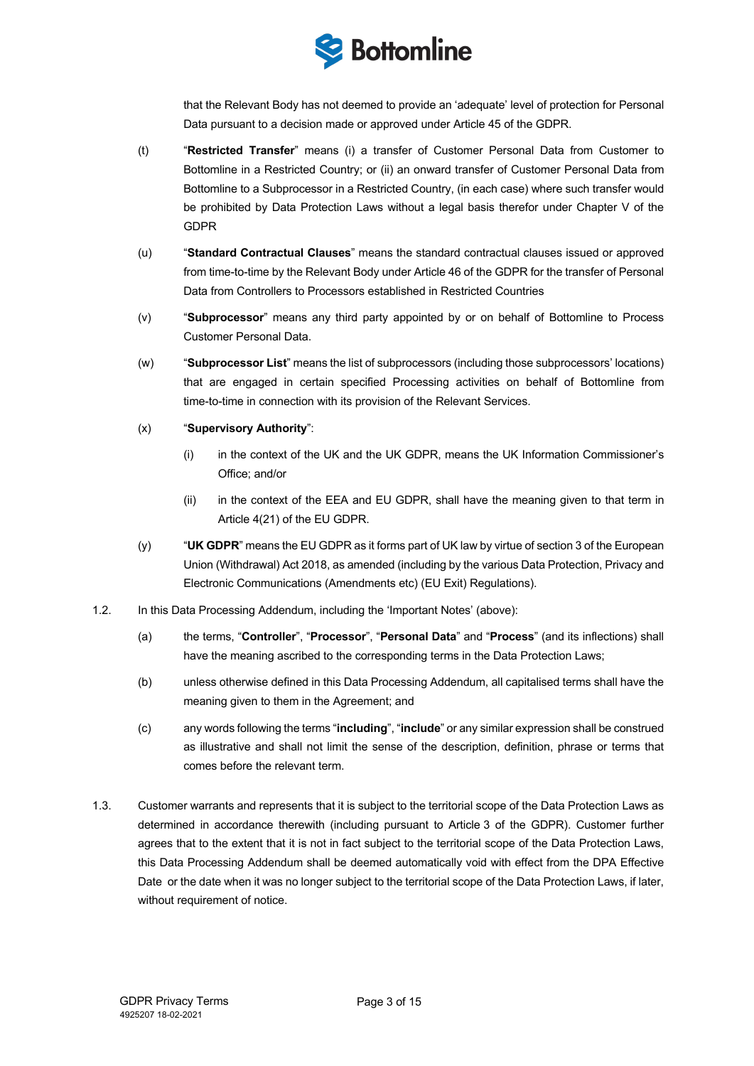

that the Relevant Body has not deemed to provide an 'adequate' level of protection for Personal Data pursuant to a decision made or approved under Article 45 of the GDPR.

- (t) "**Restricted Transfer**" means (i) a transfer of Customer Personal Data from Customer to Bottomline in a Restricted Country; or (ii) an onward transfer of Customer Personal Data from Bottomline to a Subprocessor in a Restricted Country, (in each case) where such transfer would be prohibited by Data Protection Laws without a legal basis therefor under Chapter V of the GDPR
- (u) "**Standard Contractual Clauses**" means the standard contractual clauses issued or approved from time-to-time by the Relevant Body under Article 46 of the GDPR for the transfer of Personal Data from Controllers to Processors established in Restricted Countries
- (v) "**Subprocessor**" means any third party appointed by or on behalf of Bottomline to Process Customer Personal Data.
- (w) "**Subprocessor List**" means the list of subprocessors (including those subprocessors' locations) that are engaged in certain specified Processing activities on behalf of Bottomline from time-to-time in connection with its provision of the Relevant Services.
- (x) "**Supervisory Authority**":
	- (i) in the context of the UK and the UK GDPR, means the UK Information Commissioner's Office; and/or
	- (ii) in the context of the EEA and EU GDPR, shall have the meaning given to that term in Article 4(21) of the EU GDPR.
- (y) "**UK GDPR**" means the EU GDPR as it forms part of UK law by virtue of section 3 of the European Union (Withdrawal) Act 2018, as amended (including by the various Data Protection, Privacy and Electronic Communications (Amendments etc) (EU Exit) Regulations).
- 1.2. In this Data Processing Addendum, including the 'Important Notes' (above):
	- (a) the terms, "**Controller**", "**Processor**", "**Personal Data**" and "**Process**" (and its inflections) shall have the meaning ascribed to the corresponding terms in the Data Protection Laws;
	- (b) unless otherwise defined in this Data Processing Addendum, all capitalised terms shall have the meaning given to them in the Agreement; and
	- (c) any words following the terms "**including**", "**include**" or any similar expression shall be construed as illustrative and shall not limit the sense of the description, definition, phrase or terms that comes before the relevant term.
- 1.3. Customer warrants and represents that it is subject to the territorial scope of the Data Protection Laws as determined in accordance therewith (including pursuant to Article 3 of the GDPR). Customer further agrees that to the extent that it is not in fact subject to the territorial scope of the Data Protection Laws, this Data Processing Addendum shall be deemed automatically void with effect from the DPA Effective Date or the date when it was no longer subject to the territorial scope of the Data Protection Laws, if later, without requirement of notice.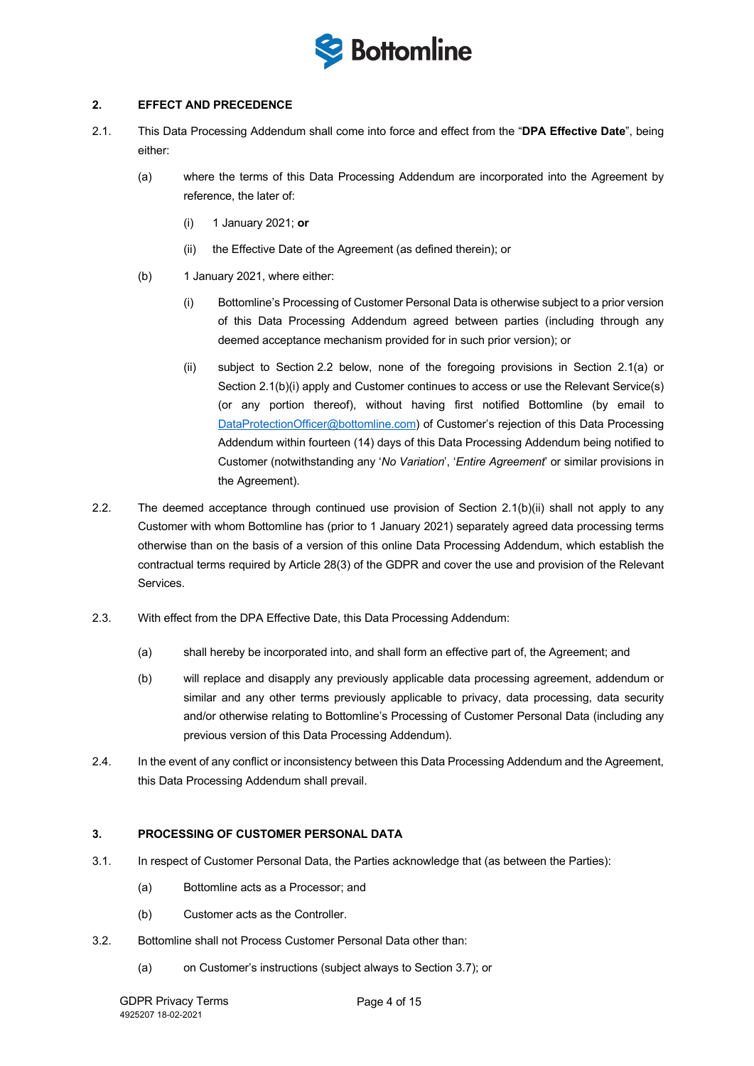

## **2. EFFECT AND PRECEDENCE**

- 2.1. This Data Processing Addendum shall come into force and effect from the "**DPA Effective Date**", being either:
	- (a) where the terms of this Data Processing Addendum are incorporated into the Agreement by reference, the later of:
		- (i) 1 January 2021; **or**
		- (ii) the Effective Date of the Agreement (as defined therein); or
	- (b) 1 January 2021, where either:
		- (i) Bottomline's Processing of Customer Personal Data is otherwise subject to a prior version of this Data Processing Addendum agreed between parties (including through any deemed acceptance mechanism provided for in such prior version); or
		- (ii) subject to Section 2.2 below, none of the foregoing provisions in Section 2.1(a) or Section 2.1(b)(i) apply and Customer continues to access or use the Relevant Service(s) (or any portion thereof), without having first notified Bottomline (by email to DataProtectionOfficer@bottomline.com) of Customer's rejection of this Data Processing Addendum within fourteen (14) days of this Data Processing Addendum being notified to Customer (notwithstanding any '*No Variation*', '*Entire Agreement*' or similar provisions in the Agreement).
- 2.2. The deemed acceptance through continued use provision of Section 2.1(b)(ii) shall not apply to any Customer with whom Bottomline has (prior to 1 January 2021) separately agreed data processing terms otherwise than on the basis of a version of this online Data Processing Addendum, which establish the contractual terms required by Article 28(3) of the GDPR and cover the use and provision of the Relevant Services.
- 2.3. With effect from the DPA Effective Date, this Data Processing Addendum:
	- (a) shall hereby be incorporated into, and shall form an effective part of, the Agreement; and
	- (b) will replace and disapply any previously applicable data processing agreement, addendum or similar and any other terms previously applicable to privacy, data processing, data security and/or otherwise relating to Bottomline's Processing of Customer Personal Data (including any previous version of this Data Processing Addendum).
- 2.4. In the event of any conflict or inconsistency between this Data Processing Addendum and the Agreement, this Data Processing Addendum shall prevail.

## **3. PROCESSING OF CUSTOMER PERSONAL DATA**

- 3.1. In respect of Customer Personal Data, the Parties acknowledge that (as between the Parties):
	- (a) Bottomline acts as a Processor; and
	- (b) Customer acts as the Controller.
- 3.2. Bottomline shall not Process Customer Personal Data other than:
	- (a) on Customer's instructions (subject always to Section 3.7); or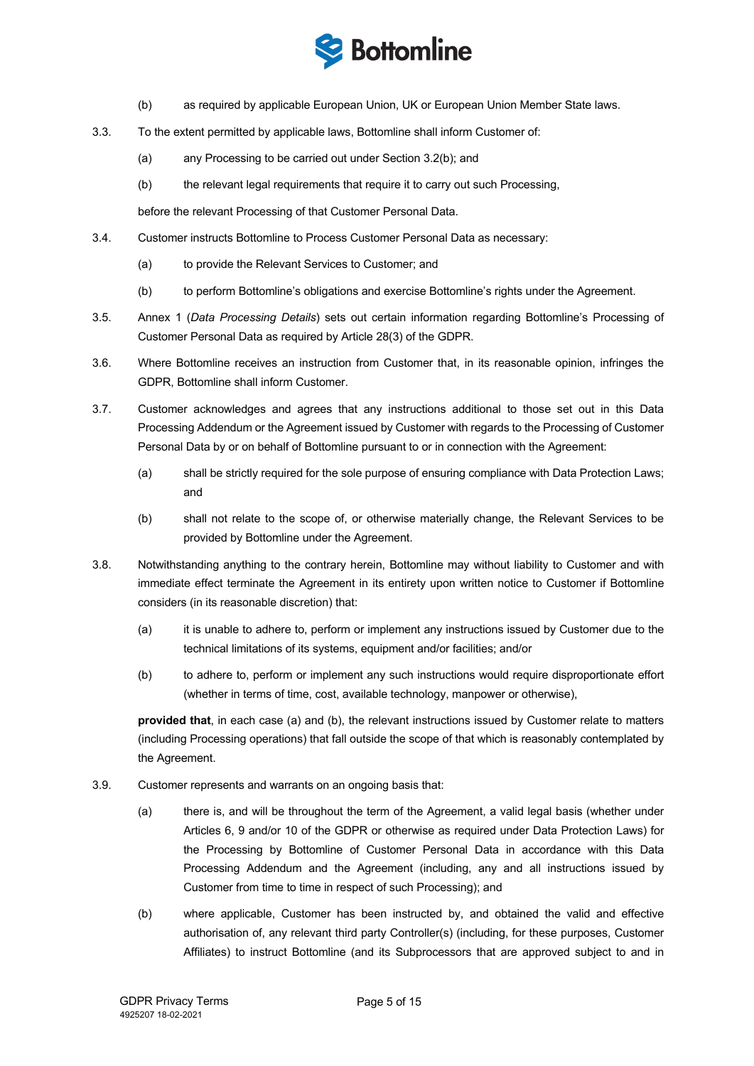

- (b) as required by applicable European Union, UK or European Union Member State laws.
- 3.3. To the extent permitted by applicable laws, Bottomline shall inform Customer of:
	- (a) any Processing to be carried out under Section 3.2(b); and
	- (b) the relevant legal requirements that require it to carry out such Processing,

before the relevant Processing of that Customer Personal Data.

- 3.4. Customer instructs Bottomline to Process Customer Personal Data as necessary:
	- (a) to provide the Relevant Services to Customer; and
	- (b) to perform Bottomline's obligations and exercise Bottomline's rights under the Agreement.
- 3.5. Annex 1 (*Data Processing Details*) sets out certain information regarding Bottomline's Processing of Customer Personal Data as required by Article 28(3) of the GDPR.
- 3.6. Where Bottomline receives an instruction from Customer that, in its reasonable opinion, infringes the GDPR, Bottomline shall inform Customer.
- 3.7. Customer acknowledges and agrees that any instructions additional to those set out in this Data Processing Addendum or the Agreement issued by Customer with regards to the Processing of Customer Personal Data by or on behalf of Bottomline pursuant to or in connection with the Agreement:
	- (a) shall be strictly required for the sole purpose of ensuring compliance with Data Protection Laws; and
	- (b) shall not relate to the scope of, or otherwise materially change, the Relevant Services to be provided by Bottomline under the Agreement.
- 3.8. Notwithstanding anything to the contrary herein, Bottomline may without liability to Customer and with immediate effect terminate the Agreement in its entirety upon written notice to Customer if Bottomline considers (in its reasonable discretion) that:
	- (a) it is unable to adhere to, perform or implement any instructions issued by Customer due to the technical limitations of its systems, equipment and/or facilities; and/or
	- (b) to adhere to, perform or implement any such instructions would require disproportionate effort (whether in terms of time, cost, available technology, manpower or otherwise),

**provided that**, in each case (a) and (b), the relevant instructions issued by Customer relate to matters (including Processing operations) that fall outside the scope of that which is reasonably contemplated by the Agreement.

- 3.9. Customer represents and warrants on an ongoing basis that:
	- (a) there is, and will be throughout the term of the Agreement, a valid legal basis (whether under Articles 6, 9 and/or 10 of the GDPR or otherwise as required under Data Protection Laws) for the Processing by Bottomline of Customer Personal Data in accordance with this Data Processing Addendum and the Agreement (including, any and all instructions issued by Customer from time to time in respect of such Processing); and
	- (b) where applicable, Customer has been instructed by, and obtained the valid and effective authorisation of, any relevant third party Controller(s) (including, for these purposes, Customer Affiliates) to instruct Bottomline (and its Subprocessors that are approved subject to and in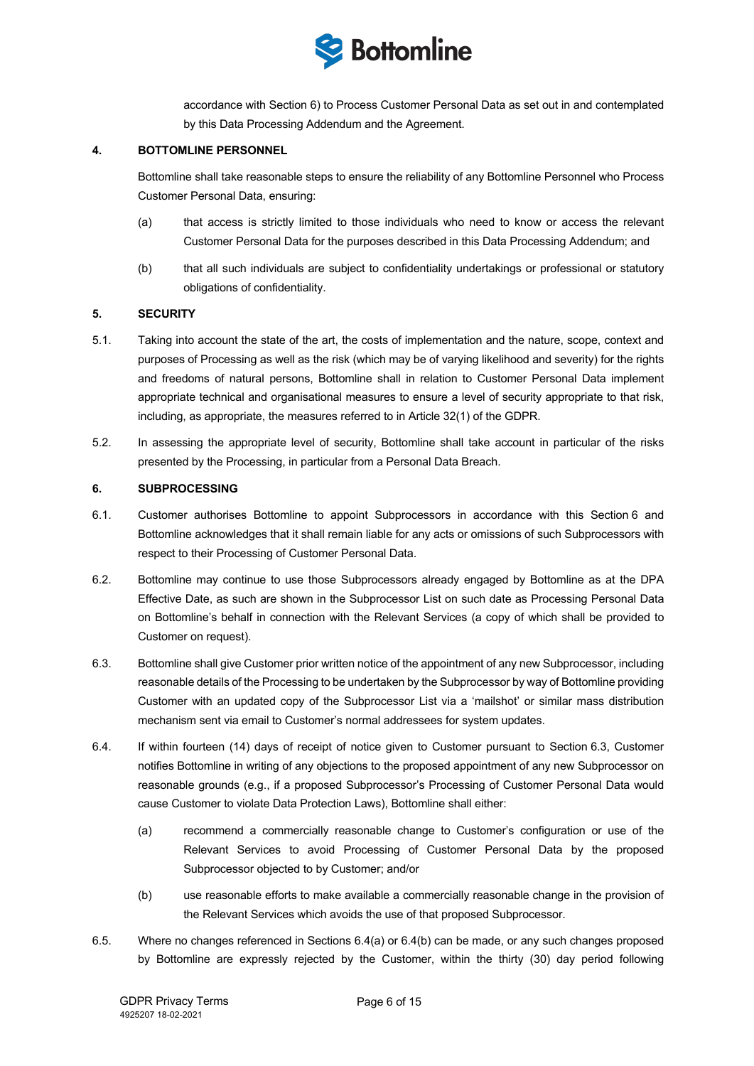

accordance with Section 6) to Process Customer Personal Data as set out in and contemplated by this Data Processing Addendum and the Agreement.

### **4. BOTTOMLINE PERSONNEL**

Bottomline shall take reasonable steps to ensure the reliability of any Bottomline Personnel who Process Customer Personal Data, ensuring:

- (a) that access is strictly limited to those individuals who need to know or access the relevant Customer Personal Data for the purposes described in this Data Processing Addendum; and
- (b) that all such individuals are subject to confidentiality undertakings or professional or statutory obligations of confidentiality.

## **5. SECURITY**

- 5.1. Taking into account the state of the art, the costs of implementation and the nature, scope, context and purposes of Processing as well as the risk (which may be of varying likelihood and severity) for the rights and freedoms of natural persons, Bottomline shall in relation to Customer Personal Data implement appropriate technical and organisational measures to ensure a level of security appropriate to that risk, including, as appropriate, the measures referred to in Article 32(1) of the GDPR.
- 5.2. In assessing the appropriate level of security, Bottomline shall take account in particular of the risks presented by the Processing, in particular from a Personal Data Breach.

#### **6. SUBPROCESSING**

- 6.1. Customer authorises Bottomline to appoint Subprocessors in accordance with this Section 6 and Bottomline acknowledges that it shall remain liable for any acts or omissions of such Subprocessors with respect to their Processing of Customer Personal Data.
- 6.2. Bottomline may continue to use those Subprocessors already engaged by Bottomline as at the DPA Effective Date, as such are shown in the Subprocessor List on such date as Processing Personal Data on Bottomline's behalf in connection with the Relevant Services (a copy of which shall be provided to Customer on request).
- 6.3. Bottomline shall give Customer prior written notice of the appointment of any new Subprocessor, including reasonable details of the Processing to be undertaken by the Subprocessor by way of Bottomline providing Customer with an updated copy of the Subprocessor List via a 'mailshot' or similar mass distribution mechanism sent via email to Customer's normal addressees for system updates.
- 6.4. If within fourteen (14) days of receipt of notice given to Customer pursuant to Section 6.3, Customer notifies Bottomline in writing of any objections to the proposed appointment of any new Subprocessor on reasonable grounds (e.g., if a proposed Subprocessor's Processing of Customer Personal Data would cause Customer to violate Data Protection Laws), Bottomline shall either:
	- (a) recommend a commercially reasonable change to Customer's configuration or use of the Relevant Services to avoid Processing of Customer Personal Data by the proposed Subprocessor objected to by Customer; and/or
	- (b) use reasonable efforts to make available a commercially reasonable change in the provision of the Relevant Services which avoids the use of that proposed Subprocessor.
- 6.5. Where no changes referenced in Sections 6.4(a) or 6.4(b) can be made, or any such changes proposed by Bottomline are expressly rejected by the Customer, within the thirty (30) day period following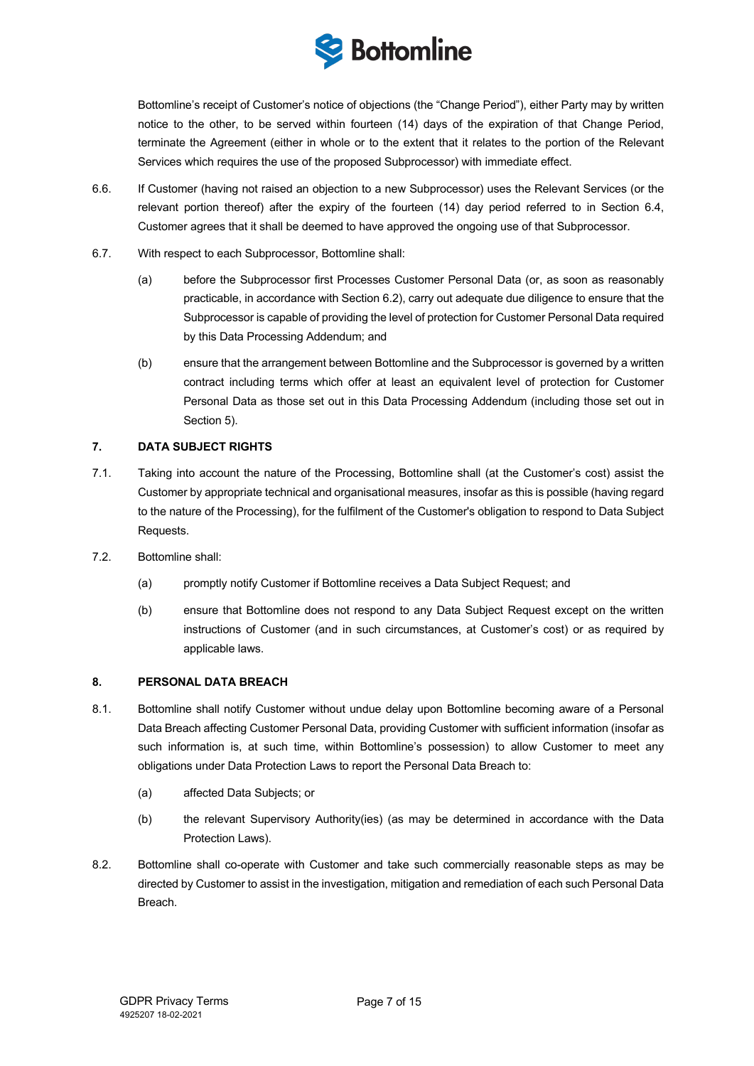

Bottomline's receipt of Customer's notice of objections (the "Change Period"), either Party may by written notice to the other, to be served within fourteen (14) days of the expiration of that Change Period, terminate the Agreement (either in whole or to the extent that it relates to the portion of the Relevant Services which requires the use of the proposed Subprocessor) with immediate effect.

- 6.6. If Customer (having not raised an objection to a new Subprocessor) uses the Relevant Services (or the relevant portion thereof) after the expiry of the fourteen (14) day period referred to in Section 6.4, Customer agrees that it shall be deemed to have approved the ongoing use of that Subprocessor.
- 6.7. With respect to each Subprocessor, Bottomline shall:
	- (a) before the Subprocessor first Processes Customer Personal Data (or, as soon as reasonably practicable, in accordance with Section 6.2), carry out adequate due diligence to ensure that the Subprocessor is capable of providing the level of protection for Customer Personal Data required by this Data Processing Addendum; and
	- (b) ensure that the arrangement between Bottomline and the Subprocessor is governed by a written contract including terms which offer at least an equivalent level of protection for Customer Personal Data as those set out in this Data Processing Addendum (including those set out in Section 5).

## **7. DATA SUBJECT RIGHTS**

- 7.1. Taking into account the nature of the Processing, Bottomline shall (at the Customer's cost) assist the Customer by appropriate technical and organisational measures, insofar as this is possible (having regard to the nature of the Processing), for the fulfilment of the Customer's obligation to respond to Data Subject Requests.
- 7.2. Bottomline shall:
	- (a) promptly notify Customer if Bottomline receives a Data Subject Request; and
	- (b) ensure that Bottomline does not respond to any Data Subject Request except on the written instructions of Customer (and in such circumstances, at Customer's cost) or as required by applicable laws.

## **8. PERSONAL DATA BREACH**

- 8.1. Bottomline shall notify Customer without undue delay upon Bottomline becoming aware of a Personal Data Breach affecting Customer Personal Data, providing Customer with sufficient information (insofar as such information is, at such time, within Bottomline's possession) to allow Customer to meet any obligations under Data Protection Laws to report the Personal Data Breach to:
	- (a) affected Data Subjects; or
	- (b) the relevant Supervisory Authority(ies) (as may be determined in accordance with the Data Protection Laws).
- 8.2. Bottomline shall co-operate with Customer and take such commercially reasonable steps as may be directed by Customer to assist in the investigation, mitigation and remediation of each such Personal Data Breach.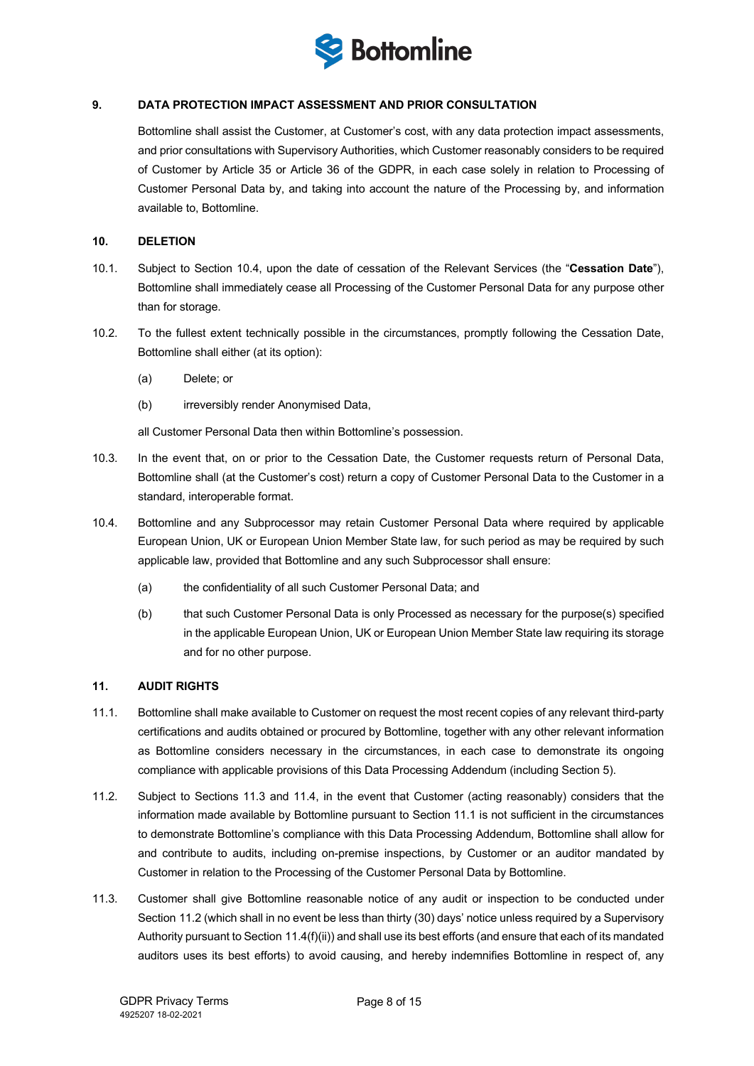

## **9. DATA PROTECTION IMPACT ASSESSMENT AND PRIOR CONSULTATION**

Bottomline shall assist the Customer, at Customer's cost, with any data protection impact assessments, and prior consultations with Supervisory Authorities, which Customer reasonably considers to be required of Customer by Article 35 or Article 36 of the GDPR, in each case solely in relation to Processing of Customer Personal Data by, and taking into account the nature of the Processing by, and information available to, Bottomline.

## **10. DELETION**

- 10.1. Subject to Section 10.4, upon the date of cessation of the Relevant Services (the "**Cessation Date**"), Bottomline shall immediately cease all Processing of the Customer Personal Data for any purpose other than for storage.
- 10.2. To the fullest extent technically possible in the circumstances, promptly following the Cessation Date, Bottomline shall either (at its option):
	- (a) Delete; or
	- (b) irreversibly render Anonymised Data,

all Customer Personal Data then within Bottomline's possession.

- 10.3. In the event that, on or prior to the Cessation Date, the Customer requests return of Personal Data, Bottomline shall (at the Customer's cost) return a copy of Customer Personal Data to the Customer in a standard, interoperable format.
- 10.4. Bottomline and any Subprocessor may retain Customer Personal Data where required by applicable European Union, UK or European Union Member State law, for such period as may be required by such applicable law, provided that Bottomline and any such Subprocessor shall ensure:
	- (a) the confidentiality of all such Customer Personal Data; and
	- (b) that such Customer Personal Data is only Processed as necessary for the purpose(s) specified in the applicable European Union, UK or European Union Member State law requiring its storage and for no other purpose.

## **11. AUDIT RIGHTS**

- 11.1. Bottomline shall make available to Customer on request the most recent copies of any relevant third-party certifications and audits obtained or procured by Bottomline, together with any other relevant information as Bottomline considers necessary in the circumstances, in each case to demonstrate its ongoing compliance with applicable provisions of this Data Processing Addendum (including Section 5).
- 11.2. Subject to Sections 11.3 and 11.4, in the event that Customer (acting reasonably) considers that the information made available by Bottomline pursuant to Section 11.1 is not sufficient in the circumstances to demonstrate Bottomline's compliance with this Data Processing Addendum, Bottomline shall allow for and contribute to audits, including on-premise inspections, by Customer or an auditor mandated by Customer in relation to the Processing of the Customer Personal Data by Bottomline.
- 11.3. Customer shall give Bottomline reasonable notice of any audit or inspection to be conducted under Section 11.2 (which shall in no event be less than thirty (30) days' notice unless required by a Supervisory Authority pursuant to Section 11.4(f)(ii)) and shall use its best efforts (and ensure that each of its mandated auditors uses its best efforts) to avoid causing, and hereby indemnifies Bottomline in respect of, any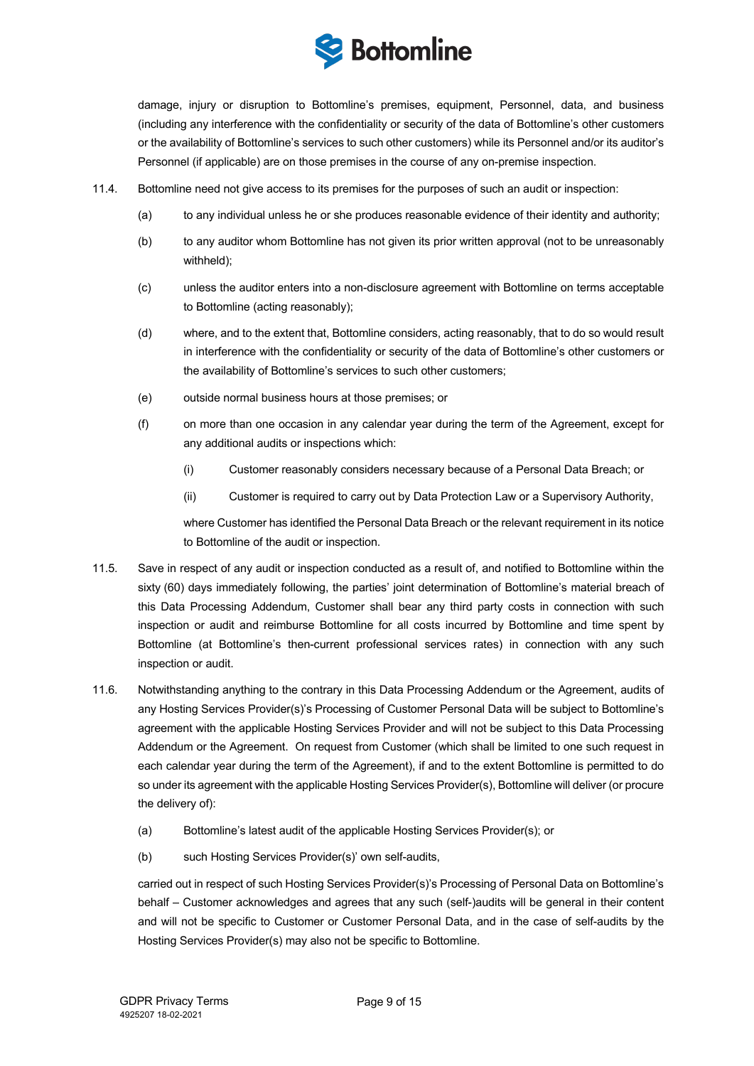

damage, injury or disruption to Bottomline's premises, equipment, Personnel, data, and business (including any interference with the confidentiality or security of the data of Bottomline's other customers or the availability of Bottomline's services to such other customers) while its Personnel and/or its auditor's Personnel (if applicable) are on those premises in the course of any on-premise inspection.

- 11.4. Bottomline need not give access to its premises for the purposes of such an audit or inspection:
	- (a) to any individual unless he or she produces reasonable evidence of their identity and authority;
	- (b) to any auditor whom Bottomline has not given its prior written approval (not to be unreasonably withheld);
	- (c) unless the auditor enters into a non-disclosure agreement with Bottomline on terms acceptable to Bottomline (acting reasonably);
	- (d) where, and to the extent that, Bottomline considers, acting reasonably, that to do so would result in interference with the confidentiality or security of the data of Bottomline's other customers or the availability of Bottomline's services to such other customers;
	- (e) outside normal business hours at those premises; or
	- (f) on more than one occasion in any calendar year during the term of the Agreement, except for any additional audits or inspections which:
		- (i) Customer reasonably considers necessary because of a Personal Data Breach; or
		- (ii) Customer is required to carry out by Data Protection Law or a Supervisory Authority,

where Customer has identified the Personal Data Breach or the relevant requirement in its notice to Bottomline of the audit or inspection.

- 11.5. Save in respect of any audit or inspection conducted as a result of, and notified to Bottomline within the sixty (60) days immediately following, the parties' joint determination of Bottomline's material breach of this Data Processing Addendum, Customer shall bear any third party costs in connection with such inspection or audit and reimburse Bottomline for all costs incurred by Bottomline and time spent by Bottomline (at Bottomline's then-current professional services rates) in connection with any such inspection or audit.
- 11.6. Notwithstanding anything to the contrary in this Data Processing Addendum or the Agreement, audits of any Hosting Services Provider(s)'s Processing of Customer Personal Data will be subject to Bottomline's agreement with the applicable Hosting Services Provider and will not be subject to this Data Processing Addendum or the Agreement. On request from Customer (which shall be limited to one such request in each calendar year during the term of the Agreement), if and to the extent Bottomline is permitted to do so under its agreement with the applicable Hosting Services Provider(s), Bottomline will deliver (or procure the delivery of):
	- (a) Bottomline's latest audit of the applicable Hosting Services Provider(s); or
	- (b) such Hosting Services Provider(s)' own self-audits,

carried out in respect of such Hosting Services Provider(s)'s Processing of Personal Data on Bottomline's behalf – Customer acknowledges and agrees that any such (self-)audits will be general in their content and will not be specific to Customer or Customer Personal Data, and in the case of self-audits by the Hosting Services Provider(s) may also not be specific to Bottomline.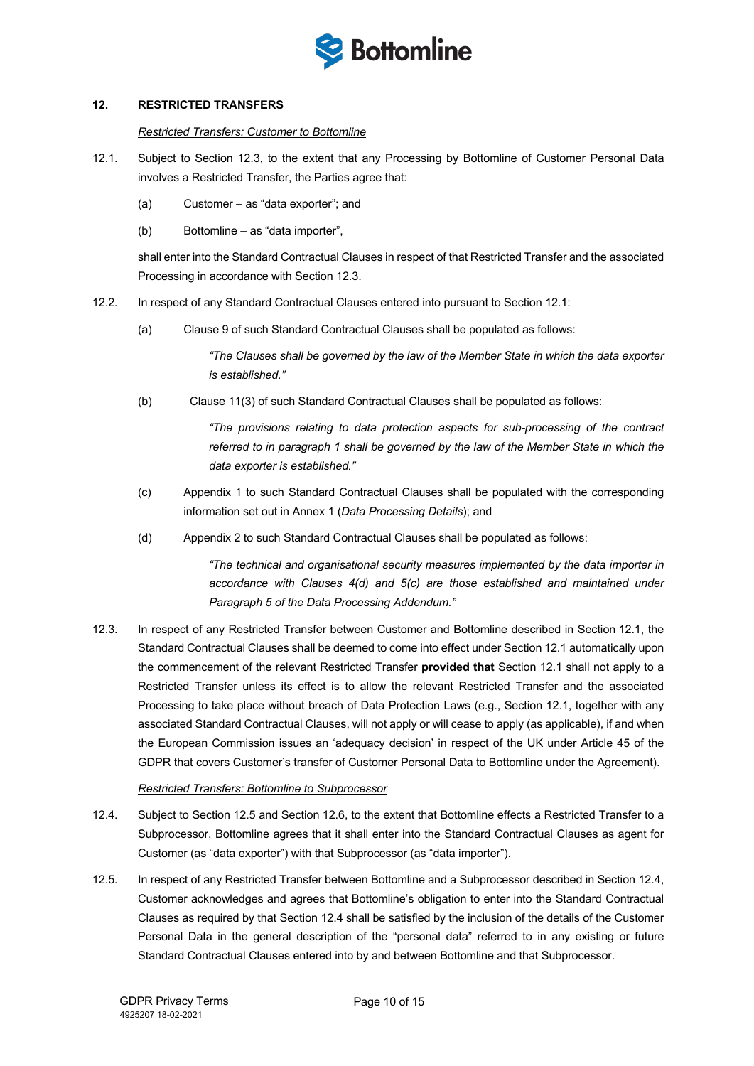

## **12. RESTRICTED TRANSFERS**

## *Restricted Transfers: Customer to Bottomline*

- 12.1. Subject to Section 12.3, to the extent that any Processing by Bottomline of Customer Personal Data involves a Restricted Transfer, the Parties agree that:
	- (a) Customer as "data exporter"; and
	- (b) Bottomline as "data importer",

shall enter into the Standard Contractual Clauses in respect of that Restricted Transfer and the associated Processing in accordance with Section 12.3.

- 12.2. In respect of any Standard Contractual Clauses entered into pursuant to Section 12.1:
	- (a) Clause 9 of such Standard Contractual Clauses shall be populated as follows:

*"The Clauses shall be governed by the law of the Member State in which the data exporter is established."*

(b)Clause 11(3) of such Standard Contractual Clauses shall be populated as follows:

*"The provisions relating to data protection aspects for sub-processing of the contract referred to in paragraph 1 shall be governed by the law of the Member State in which the data exporter is established."*

- (c) Appendix 1 to such Standard Contractual Clauses shall be populated with the corresponding information set out in Annex 1 (*Data Processing Details*); and
- (d) Appendix 2 to such Standard Contractual Clauses shall be populated as follows:

*"The technical and organisational security measures implemented by the data importer in accordance with Clauses 4(d) and 5(c) are those established and maintained under Paragraph 5 of the Data Processing Addendum."*

12.3. In respect of any Restricted Transfer between Customer and Bottomline described in Section 12.1, the Standard Contractual Clauses shall be deemed to come into effect under Section 12.1 automatically upon the commencement of the relevant Restricted Transfer **provided that** Section 12.1 shall not apply to a Restricted Transfer unless its effect is to allow the relevant Restricted Transfer and the associated Processing to take place without breach of Data Protection Laws (e.g., Section 12.1, together with any associated Standard Contractual Clauses, will not apply or will cease to apply (as applicable), if and when the European Commission issues an 'adequacy decision' in respect of the UK under Article 45 of the GDPR that covers Customer's transfer of Customer Personal Data to Bottomline under the Agreement).

#### *Restricted Transfers: Bottomline to Subprocessor*

- 12.4. Subject to Section 12.5 and Section 12.6, to the extent that Bottomline effects a Restricted Transfer to a Subprocessor, Bottomline agrees that it shall enter into the Standard Contractual Clauses as agent for Customer (as "data exporter") with that Subprocessor (as "data importer").
- 12.5. In respect of any Restricted Transfer between Bottomline and a Subprocessor described in Section 12.4, Customer acknowledges and agrees that Bottomline's obligation to enter into the Standard Contractual Clauses as required by that Section 12.4 shall be satisfied by the inclusion of the details of the Customer Personal Data in the general description of the "personal data" referred to in any existing or future Standard Contractual Clauses entered into by and between Bottomline and that Subprocessor.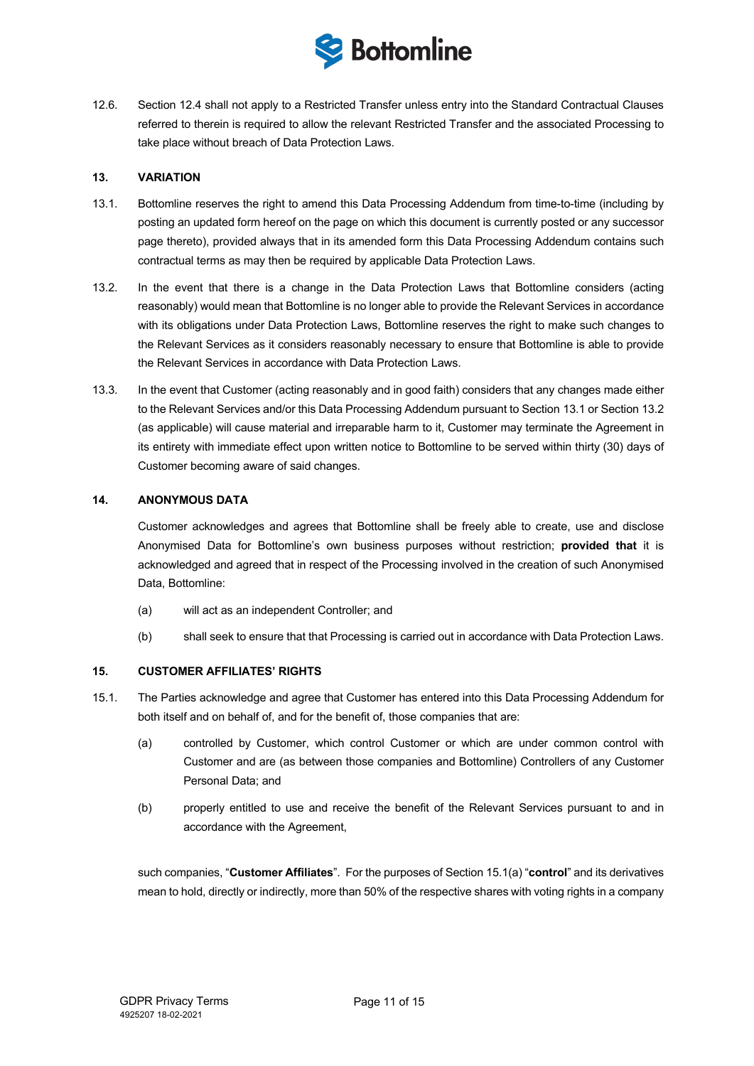

12.6. Section 12.4 shall not apply to a Restricted Transfer unless entry into the Standard Contractual Clauses referred to therein is required to allow the relevant Restricted Transfer and the associated Processing to take place without breach of Data Protection Laws.

## **13. VARIATION**

- 13.1. Bottomline reserves the right to amend this Data Processing Addendum from time-to-time (including by posting an updated form hereof on the page on which this document is currently posted or any successor page thereto), provided always that in its amended form this Data Processing Addendum contains such contractual terms as may then be required by applicable Data Protection Laws.
- 13.2. In the event that there is a change in the Data Protection Laws that Bottomline considers (acting reasonably) would mean that Bottomline is no longer able to provide the Relevant Services in accordance with its obligations under Data Protection Laws, Bottomline reserves the right to make such changes to the Relevant Services as it considers reasonably necessary to ensure that Bottomline is able to provide the Relevant Services in accordance with Data Protection Laws.
- 13.3. In the event that Customer (acting reasonably and in good faith) considers that any changes made either to the Relevant Services and/or this Data Processing Addendum pursuant to Section 13.1 or Section 13.2 (as applicable) will cause material and irreparable harm to it, Customer may terminate the Agreement in its entirety with immediate effect upon written notice to Bottomline to be served within thirty (30) days of Customer becoming aware of said changes.

## **14. ANONYMOUS DATA**

Customer acknowledges and agrees that Bottomline shall be freely able to create, use and disclose Anonymised Data for Bottomline's own business purposes without restriction; **provided that** it is acknowledged and agreed that in respect of the Processing involved in the creation of such Anonymised Data, Bottomline:

- (a) will act as an independent Controller; and
- (b) shall seek to ensure that that Processing is carried out in accordance with Data Protection Laws.

## **15. CUSTOMER AFFILIATES' RIGHTS**

- 15.1. The Parties acknowledge and agree that Customer has entered into this Data Processing Addendum for both itself and on behalf of, and for the benefit of, those companies that are:
	- (a) controlled by Customer, which control Customer or which are under common control with Customer and are (as between those companies and Bottomline) Controllers of any Customer Personal Data; and
	- (b) properly entitled to use and receive the benefit of the Relevant Services pursuant to and in accordance with the Agreement,

such companies, "**Customer Affiliates**". For the purposes of Section 15.1(a) "**control**" and its derivatives mean to hold, directly or indirectly, more than 50% of the respective shares with voting rights in a company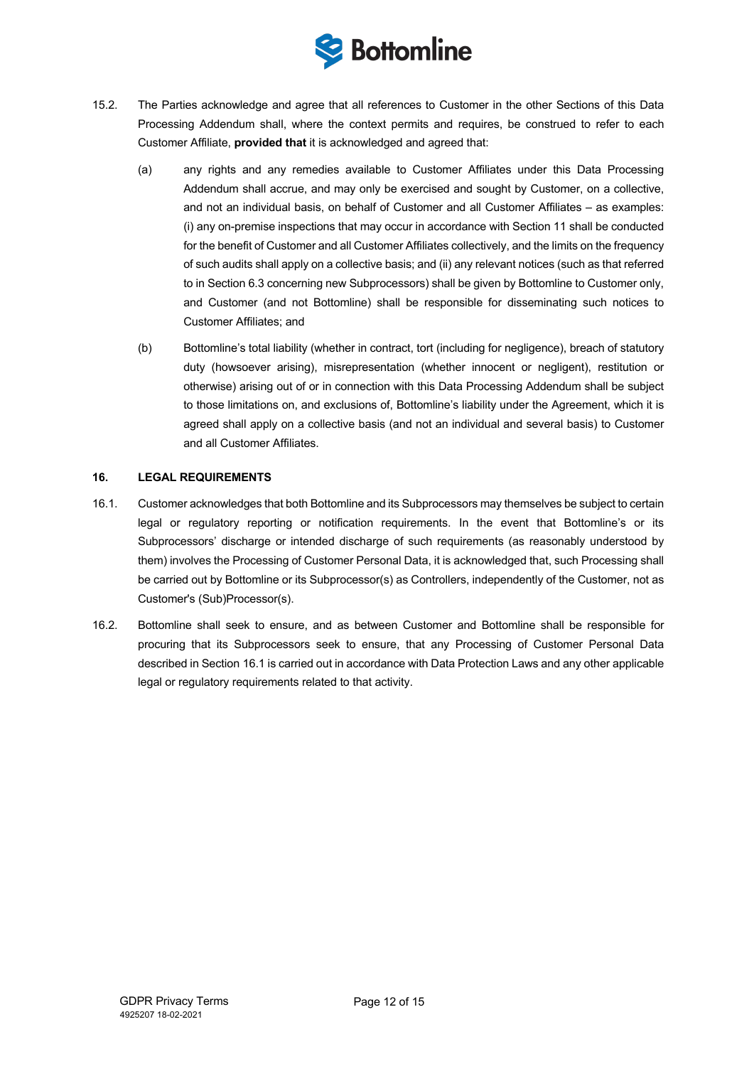

- 15.2. The Parties acknowledge and agree that all references to Customer in the other Sections of this Data Processing Addendum shall, where the context permits and requires, be construed to refer to each Customer Affiliate, **provided that** it is acknowledged and agreed that:
	- (a) any rights and any remedies available to Customer Affiliates under this Data Processing Addendum shall accrue, and may only be exercised and sought by Customer, on a collective, and not an individual basis, on behalf of Customer and all Customer Affiliates – as examples: (i) any on-premise inspections that may occur in accordance with Section 11 shall be conducted for the benefit of Customer and all Customer Affiliates collectively, and the limits on the frequency of such audits shall apply on a collective basis; and (ii) any relevant notices (such as that referred to in Section 6.3 concerning new Subprocessors) shall be given by Bottomline to Customer only, and Customer (and not Bottomline) shall be responsible for disseminating such notices to Customer Affiliates; and
	- (b) Bottomline's total liability (whether in contract, tort (including for negligence), breach of statutory duty (howsoever arising), misrepresentation (whether innocent or negligent), restitution or otherwise) arising out of or in connection with this Data Processing Addendum shall be subject to those limitations on, and exclusions of, Bottomline's liability under the Agreement, which it is agreed shall apply on a collective basis (and not an individual and several basis) to Customer and all Customer Affiliates.

## **16. LEGAL REQUIREMENTS**

- 16.1. Customer acknowledges that both Bottomline and its Subprocessors may themselves be subject to certain legal or regulatory reporting or notification requirements. In the event that Bottomline's or its Subprocessors' discharge or intended discharge of such requirements (as reasonably understood by them) involves the Processing of Customer Personal Data, it is acknowledged that, such Processing shall be carried out by Bottomline or its Subprocessor(s) as Controllers, independently of the Customer, not as Customer's (Sub)Processor(s).
- 16.2. Bottomline shall seek to ensure, and as between Customer and Bottomline shall be responsible for procuring that its Subprocessors seek to ensure, that any Processing of Customer Personal Data described in Section 16.1 is carried out in accordance with Data Protection Laws and any other applicable legal or regulatory requirements related to that activity.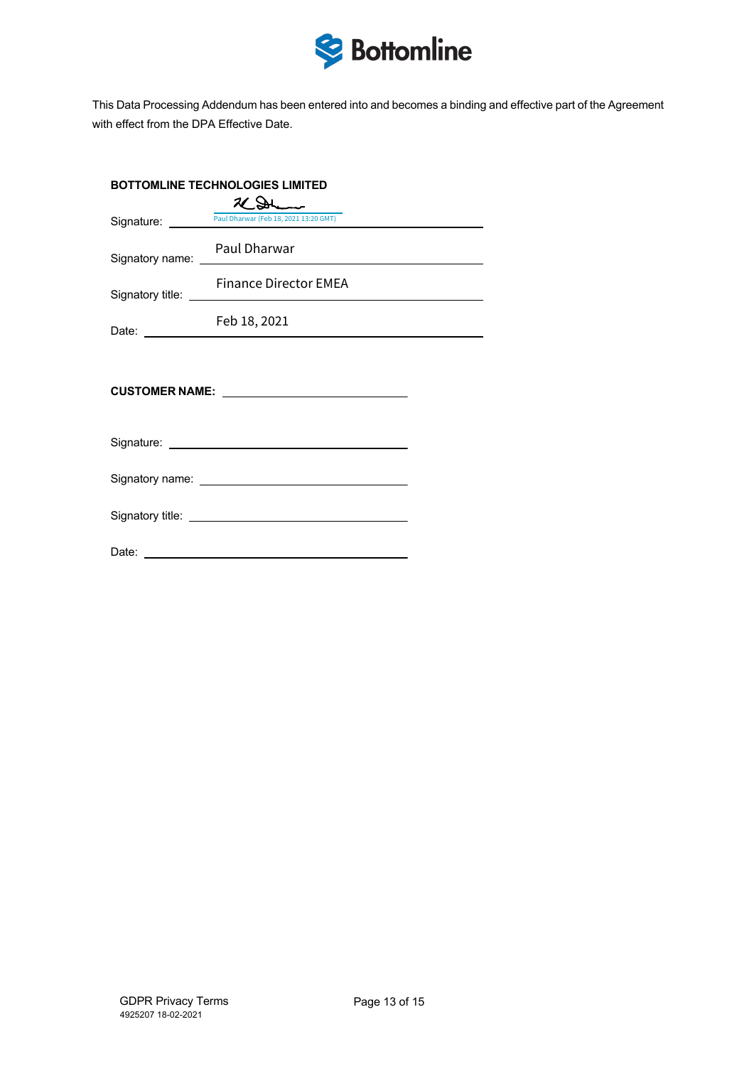

This Data Processing Addendum has been entered into and becomes a binding and effective part of the Agreement with effect from the DPA Effective Date.

| <b>BOTTOMLINE TECHNOLOGIES LIMITED</b> |                                                                                                                                                                                                                                                                      |  |
|----------------------------------------|----------------------------------------------------------------------------------------------------------------------------------------------------------------------------------------------------------------------------------------------------------------------|--|
|                                        | 2CDL                                                                                                                                                                                                                                                                 |  |
|                                        | Signature: Paul Dharwar (Feb 18, 2021 13:20 GMT)                                                                                                                                                                                                                     |  |
|                                        | Signatory name: Paul Dharwar                                                                                                                                                                                                                                         |  |
|                                        | <b>Finance Director EMEA</b><br>Signatory title: <u>example and the set of the set of the set of the set of the set of the set of the set of the set of the set of the set of the set of the set of the set of the set of the set of the set of the set of the s</u> |  |
|                                        | Feb 18, 2021                                                                                                                                                                                                                                                         |  |
|                                        |                                                                                                                                                                                                                                                                      |  |
|                                        |                                                                                                                                                                                                                                                                      |  |
|                                        |                                                                                                                                                                                                                                                                      |  |
|                                        |                                                                                                                                                                                                                                                                      |  |
|                                        |                                                                                                                                                                                                                                                                      |  |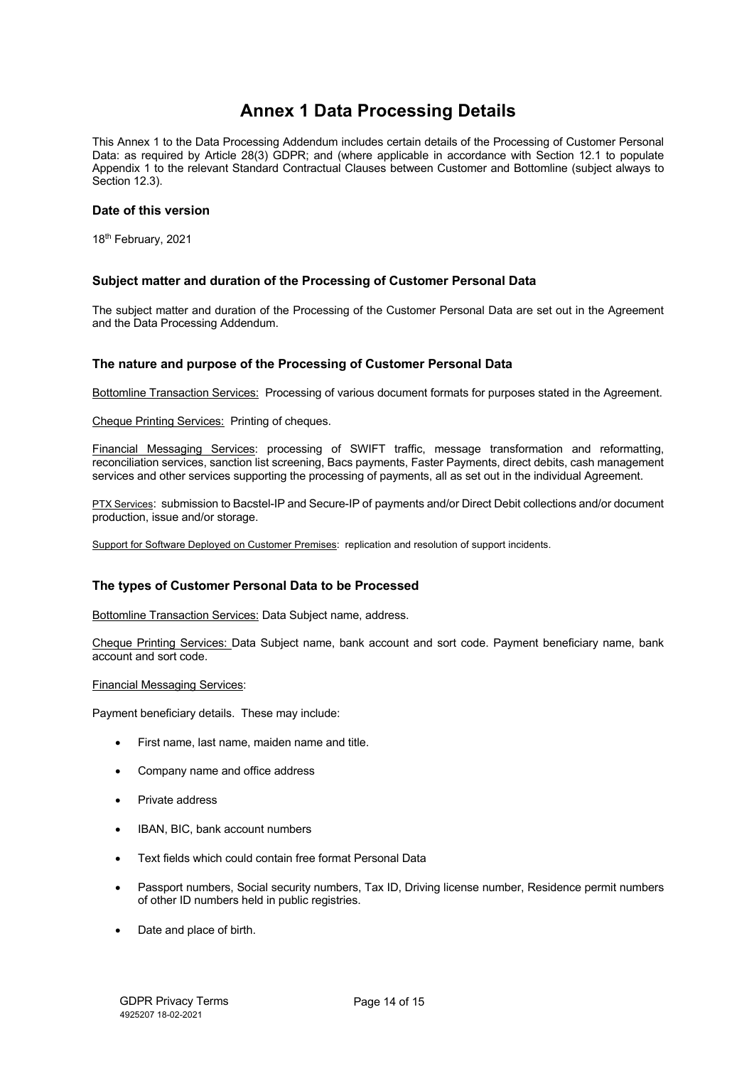# **Annex 1 Data Processing Details**

This Annex 1 to the Data Processing Addendum includes certain details of the Processing of Customer Personal Data: as required by Article 28(3) GDPR; and (where applicable in accordance with Section 12.1 to populate Appendix 1 to the relevant Standard Contractual Clauses between Customer and Bottomline (subject always to Section 12.3).

## **Date of this version**

18th February, 2021

## **Subject matter and duration of the Processing of Customer Personal Data**

The subject matter and duration of the Processing of the Customer Personal Data are set out in the Agreement and the Data Processing Addendum.

## **The nature and purpose of the Processing of Customer Personal Data**

Bottomline Transaction Services: Processing of various document formats for purposes stated in the Agreement.

Cheque Printing Services: Printing of cheques.

Financial Messaging Services: processing of SWIFT traffic, message transformation and reformatting, reconciliation services, sanction list screening, Bacs payments, Faster Payments, direct debits, cash management services and other services supporting the processing of payments, all as set out in the individual Agreement.

PTX Services: submission to Bacstel-IP and Secure-IP of payments and/or Direct Debit collections and/or document production, issue and/or storage.

Support for Software Deployed on Customer Premises: replication and resolution of support incidents.

## **The types of Customer Personal Data to be Processed**

Bottomline Transaction Services: Data Subject name, address.

Cheque Printing Services: Data Subject name, bank account and sort code. Payment beneficiary name, bank account and sort code.

#### Financial Messaging Services:

Payment beneficiary details. These may include:

- First name, last name, maiden name and title.
- Company name and office address
- Private address
- IBAN, BIC, bank account numbers
- Text fields which could contain free format Personal Data
- Passport numbers, Social security numbers, Tax ID, Driving license number, Residence permit numbers of other ID numbers held in public registries.
- Date and place of birth.